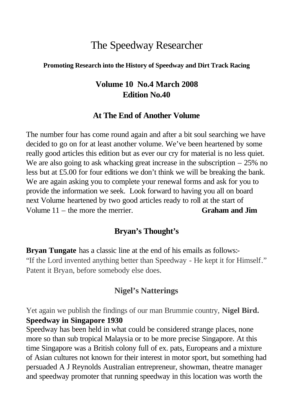# The Speedway Researcher

#### **Promoting Research into the History of Speedway and Dirt Track Racing**

## **Volume 10 No.4 March 2008 Edition No.40**

#### **At The End of Another Volume**

The number four has come round again and after a bit soul searching we have decided to go on for at least another volume. We've been heartened by some really good articles this edition but as ever our cry for material is no less quiet. We are also going to ask whacking great increase in the subscription – 25% no less but at £5.00 for four editions we don't think we will be breaking the bank. We are again asking you to complete your renewal forms and ask for you to provide the information we seek. Look forward to having you all on board next Volume heartened by two good articles ready to roll at the start of Volume 11 – the more the merrier. **Graham and Jim**

#### **Bryan's Thought's**

**Bryan Tungate** has a classic line at the end of his emails as follows:- "If the Lord invented anything better than Speedway - He kept it for Himself." Patent it Bryan, before somebody else does.

#### **Nigel's Natterings**

Yet again we publish the findings of our man Brummie country, **Nigel Bird. Speedway in Singapore 1930**

Speedway has been held in what could be considered strange places, none more so than sub tropical Malaysia or to be more precise Singapore. At this time Singapore was a British colony full of ex. pats, Europeans and a mixture of Asian cultures not known for their interest in motor sport, but something had persuaded A J Reynolds Australian entrepreneur, showman, theatre manager and speedway promoter that running speedway in this location was worth the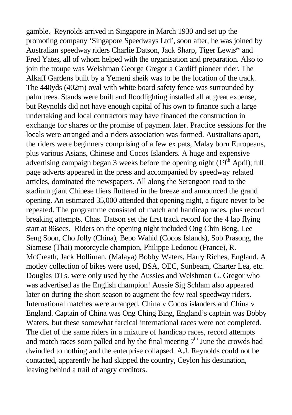gamble. Reynolds arrived in Singapore in March 1930 and set up the promoting company 'Singapore Speedways Ltd', soon after, he was joined by Australian speedway riders Charlie Datson, Jack Sharp, Tiger Lewis\* and Fred Yates, all of whom helped with the organisation and preparation. Also to join the troupe was Welshman George Gregor a Cardiff pioneer rider. The Alkaff Gardens built by a Yemeni sheik was to be the location of the track. The 440yds (402m) oval with white board safety fence was surrounded by palm trees. Stands were built and floodlighting installed all at great expense, but Reynolds did not have enough capital of his own to finance such a large undertaking and local contractors may have financed the construction in exchange for shares or the promise of payment later. Practice sessions for the locals were arranged and a riders association was formed. Australians apart, the riders were beginners comprising of a few ex pats, Malay born Europeans, plus various Asians, Chinese and Cocos Islanders. A huge and expensive advertising campaign began 3 weeks before the opening night  $(19<sup>th</sup>$  April); full page adverts appeared in the press and accompanied by speedway related articles, dominated the newspapers. All along the Serangoon road to the stadium giant Chinese fliers fluttered in the breeze and announced the grand opening. An estimated 35,000 attended that opening night, a figure never to be repeated. The programme consisted of match and handicap races, plus record breaking attempts. Chas. Datson set the first track record for the 4 lap flying start at 86secs. Riders on the opening night included Ong Chin Beng, Lee Seng Soon, Cho Jolly (China), Bepo Wahid (Cocos Islands), Sob Prasong, the Siamese (Thai) motorcycle champion, Philippe Ledonou (France), R. McCreath, Jack Holliman, (Malaya) Bobby Waters, Harry Riches, England. A motley collection of bikes were used, BSA, OEC, Sunbeam, Charter Lea, etc. Douglas DTs. were only used by the Aussies and Welshman G. Gregor who was advertised as the English champion! Aussie Sig Schlam also appeared later on during the short season to augment the few real speedway riders. International matches were arranged, China v Cocos islanders and China v England. Captain of China was Ong Ching Bing, England's captain was Bobby Waters, but these somewhat farcical international races were not completed. The diet of the same riders in a mixture of handicap races, record attempts and match races soon palled and by the final meeting  $7<sup>th</sup>$  June the crowds had dwindled to nothing and the enterprise collapsed. A.J. Reynolds could not be contacted, apparently he had skipped the country, Ceylon his destination, leaving behind a trail of angry creditors.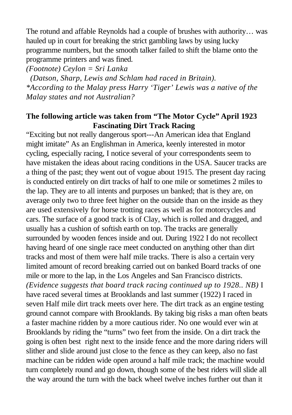The rotund and affable Reynolds had a couple of brushes with authority… was hauled up in court for breaking the strict gambling laws by using lucky programme numbers, but the smooth talker failed to shift the blame onto the programme printers and was fined.

*(Footnote) Ceylon = Sri Lanka*

*(Datson, Sharp, Lewis and Schlam had raced in Britain). \*According to the Malay press Harry 'Tiger' Lewis was a native of the Malay states and not Australian?* 

### **The following article was taken from "The Motor Cycle" April 1923 Fascinating Dirt Track Racing**

"Exciting but not really dangerous sport---An American idea that England might imitate" As an Englishman in America, keenly interested in motor cycling, especially racing, I notice several of your correspondents seem to have mistaken the ideas about racing conditions in the USA. Saucer tracks are a thing of the past; they went out of vogue about 1915. The present day racing is conducted entirely on dirt tracks of half to one mile or sometimes 2 miles to the lap. They are to all intents and purposes un banked; that is they are, on average only two to three feet higher on the outside than on the inside as they are used extensively for horse trotting races as well as for motorcycles and cars. The surface of a good track is of Clay, which is rolled and dragged, and usually has a cushion of softish earth on top. The tracks are generally surrounded by wooden fences inside and out. During 1922 I do not recollect having heard of one single race meet conducted on anything other than dirt tracks and most of them were half mile tracks. There is also a certain very limited amount of record breaking carried out on banked Board tracks of one mile or more to the lap, in the Los Angeles and San Francisco districts. *(Evidence suggests that board track racing continued up to 1928.. NB)* I have raced several times at Brooklands and last summer (1922) I raced in seven Half mile dirt track meets over here. The dirt track as an engine testing ground cannot compare with Brooklands. By taking big risks a man often beats a faster machine ridden by a more cautious rider. No one would ever win at Brooklands by riding the "turns" two feet from the inside. On a dirt track the going is often best right next to the inside fence and the more daring riders will slither and slide around just close to the fence as they can keep, also no fast machine can be ridden wide open around a half mile track; the machine would turn completely round and go down, though some of the best riders will slide all the way around the turn with the back wheel twelve inches further out than it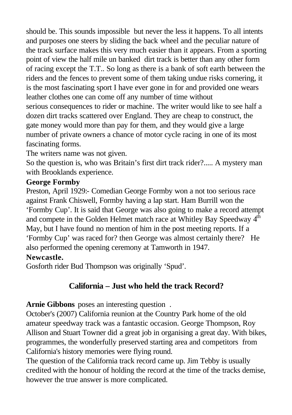should be. This sounds impossible but never the less it happens. To all intents and purposes one steers by sliding the back wheel and the peculiar nature of the track surface makes this very much easier than it appears. From a sporting point of view the half mile un banked dirt track is better than any other form of racing except the T.T.. So long as there is a bank of soft earth between the riders and the fences to prevent some of them taking undue risks cornering, it is the most fascinating sport I have ever gone in for and provided one wears leather clothes one can come off any number of time without serious consequences to rider or machine*.* The writer would like to see half a dozen dirt tracks scattered over England. They are cheap to construct, the gate money would more than pay for them, and they would give a large number of private owners a chance of motor cycle racing in one of its most fascinating forms.

The writers name was not given.

So the question is, who was Britain's first dirt track rider?..... A mystery man with Brooklands experience.

### **George Formby**

Preston, April 1929:- Comedian George Formby won a not too serious race against Frank Chiswell, Formby having a lap start. Ham Burrill won the 'Formby Cup'. It is said that George was also going to make a record attempt and compete in the Golden Helmet match race at Whitley Bay Speedway  $4<sup>th</sup>$ May, but I have found no mention of him in the post meeting reports. If a 'Formby Cup' was raced for? then George was almost certainly there? He also performed the opening ceremony at Tamworth in 1947.

### **Newcastle.**

Gosforth rider Bud Thompson was originally 'Spud'.

## **California – Just who held the track Record?**

**Arnie Gibbons** poses an interesting question .

October's (2007) California reunion at the Country Park home of the old amateur speedway track was a fantastic occasion. George Thompson, Roy Allison and Stuart Towner did a great job in organising a great day. With bikes, programmes, the wonderfully preserved starting area and competitors from California's history memories were flying round.

The question of the California track record came up. Jim Tebby is usually credited with the honour of holding the record at the time of the tracks demise, however the true answer is more complicated.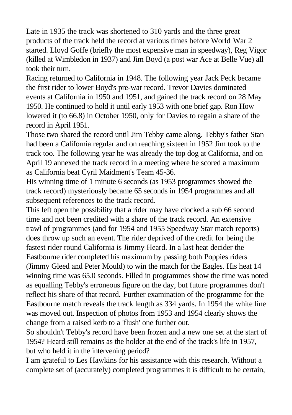Late in 1935 the track was shortened to 310 yards and the three great products of the track held the record at various times before World War 2 started. Lloyd Goffe (briefly the most expensive man in speedway), Reg Vigor (killed at Wimbledon in 1937) and Jim Boyd (a post war Ace at Belle Vue) all took their turn.

Racing returned to California in 1948. The following year Jack Peck became the first rider to lower Boyd's pre-war record. Trevor Davies dominated events at California in 1950 and 1951, and gained the track record on 28 May 1950. He continued to hold it until early 1953 with one brief gap. Ron How lowered it (to 66.8) in October 1950, only for Davies to regain a share of the record in April 1951.

Those two shared the record until Jim Tebby came along. Tebby's father Stan had been a California regular and on reaching sixteen in 1952 Jim took to the track too. The following year he was already the top dog at California, and on April 19 annexed the track record in a meeting where he scored a maximum as California beat Cyril Maidment's Team 45-36.

His winning time of 1 minute 6 seconds (as 1953 programmes showed the track record) mysteriously became 65 seconds in 1954 programmes and all subsequent references to the track record.

This left open the possibility that a rider may have clocked a sub 66 second time and not been credited with a share of the track record. An extensive trawl of programmes (and for 1954 and 1955 Speedway Star match reports) does throw up such an event. The rider deprived of the credit for being the fastest rider round California is Jimmy Heard. In a last heat decider the Eastbourne rider completed his maximum by passing both Poppies riders (Jimmy Gleed and Peter Mould) to win the match for the Eagles. His heat 14 winning time was 65.0 seconds. Filled in programmes show the time was noted as equalling Tebby's erroneous figure on the day, but future programmes don't reflect his share of that record. Further examination of the programme for the Eastbourne match reveals the track length as 334 yards. In 1954 the white line was moved out. Inspection of photos from 1953 and 1954 clearly shows the change from a raised kerb to a 'flush' one further out.

So shouldn't Tebby's record have been frozen and a new one set at the start of 1954? Heard still remains as the holder at the end of the track's life in 1957, but who held it in the intervening period?

I am grateful to Les Hawkins for his assistance with this research. Without a complete set of (accurately) completed programmes it is difficult to be certain,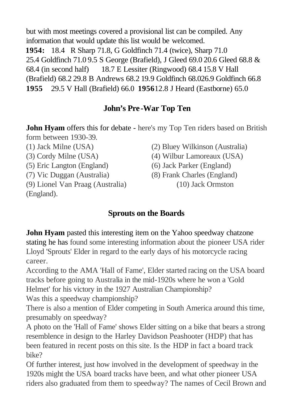but with most meetings covered a provisional list can be compiled. Any information that would update this list would be welcomed. **1954:** 18.4 R Sharp 71.8, G Goldfinch 71.4 (twice), Sharp 71.0 25.4 Goldfinch 71.0 9.5 S George (Brafield), J Gleed 69.0 20.6 Gleed 68.8 & 68.4 (in second half) 18.7 E Lessiter (Ringwood) 68.4 15.8 V Hall (Brafield) 68.2 29.8 B Andrews 68.2 19.9 Goldfinch 68.026.9 Goldfinch 66.8 **1955** 29.5 V Hall (Brafield) 66.0 **1956**12.8 J Heard (Eastborne) 65.0

## **John's Pre-War Top Ten**

**John Hyam** offers this for debate - here's my Top Ten riders based on British form between 1930-39.

(5) Eric Langton (England) (6) Jack Parker (England)

(9) Lionel Van Praag (Australia) (10) Jack Ormston (England).

- (1) Jack Milne (USA) (2) Bluey Wilkinson (Australia)
- (3) Cordy Milne (USA) (4) Wilbur Lamoreaux (USA)
	-
- (7) Vic Duggan (Australia) (8) Frank Charles (England)
	-

## **Sprouts on the Boards**

**John Hyam** pasted this interesting item on the Yahoo speedway chatzone stating he has found some interesting information about the pioneer USA rider Lloyd 'Sprouts' Elder in regard to the early days of his motorcycle racing career.

According to the AMA 'Hall of Fame', Elder started racing on the USA board tracks before going to Australia in the mid-1920s where he won a 'Gold Helmet' for his victory in the 1927 Australian Championship? Was this a speedway championship?

There is also a mention of Elder competing in South America around this time, presumably on speedway?

A photo on the 'Hall of Fame' shows Elder sitting on a bike that bears a strong resemblence in design to the Harley Davidson Peashooter (HDP) that has been featured in recent posts on this site. Is the HDP in fact a board track bike?

Of further interest, just how involved in the development of speedway in the 1920s might the USA board tracks have been, and what other pioneer USA riders also graduated from them to speedway? The names of Cecil Brown and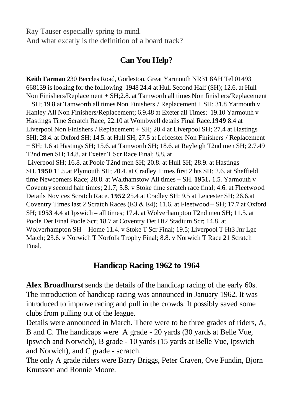Ray Tauser especially spring to mind. And what excatly is the definition of a board track?

## **Can You Help?**

**Keith Farman** 230 Beccles Road, Gorleston, Great Yarmouth NR31 8AH Tel 01493 668139 is looking for the folllowing 1948 24.4 at Hull Second Half (SH); 12.6. at Hull Non Finishers/Replacement + SH;2.8. at Tamworth all times Non finishers/Replacement + SH; 19.8 at Tamworth all times Non Finishers / Replacement + SH: 31.8 Yarmouth v Hanley All Non Finishers/Replacement; 6.9.48 at Exeter all Times; 19.10 Yarmouth v Hastings Time Scratch Race; 22.10 at Wombwell details Final Race.**1949** 8.4 at Liverpool Non Finishers / Replacement + SH; 20.4 at Liverpool SH; 27.4 at Hastings SHl; 28.4. at Oxford SH; 14.5. at Hull SH; 27.5 at Leicester Non Finishers / Replacement + SH; 1.6 at Hastings SH; 15.6. at Tamworth SH; 18.6. at Rayleigh T2nd men SH; 2.7.49 T2nd men SH; 14.8. at Exeter T Scr Race Final; 8.8. at Liverpool SH; 16.8. at Poole T2nd men SH; 20.8. at Hull SH; 28.9. at Hastings SH. **1950** 11.5.at Plymouth SH; 20.4. at Cradley Times first 2 hts SH; 2.6. at Sheffield time Newcomers Race; 28.8. at Walthamstow All times + SH. **1951.** 1.5. Yarmouth v Coventry second half times; 21.7; 5.8. v Stoke time scratch race final; 4.6. at Fleetwood Details Novices Scratch Race. **1952** 25.4 at Cradley SH; 9.5 at Leicester SH; 26.6.at Coventry Times last 2 Scratch Races (E3 & E4); 11.6. at Fleetwood – SH; 17.7.at Oxford SH; **1953** 4.4 at Ipswich – all times; 17.4. at Wolverhampton T2nd men SH; 11.5. at Poole Det Final Poole Scr; 18.7 at Coventry Det Ht2 Stadium Scr; 14.8. at Wolverhampton SH – Home 11.4. v Stoke T Scr Final; 19.5; Liverpool T Ht3 Jnr Lge Match; 23.6. v Norwich T Norfolk Trophy Final; 8.8. v Norwich T Race 21 Scratch Final.

## **Handicap Racing 1962 to 1964**

**Alex Broadhurst** sends the details of the handicap racing of the early 60s. The introduction of handicap racing was announced in January 1962. It was introduced to improve racing and pull in the crowds. It possibly saved some clubs from pulling out of the league.

Details were announced in March. There were to be three grades of riders, A, B and C. The handicaps were A grade - 20 yards (30 yards at Belle Vue, Ipswich and Norwich), B grade - 10 yards (15 yards at Belle Vue, Ipswich and Norwich), and C grade - scratch.

The only A grade riders were Barry Briggs, Peter Craven, Ove Fundin, Bjorn Knutsson and Ronnie Moore.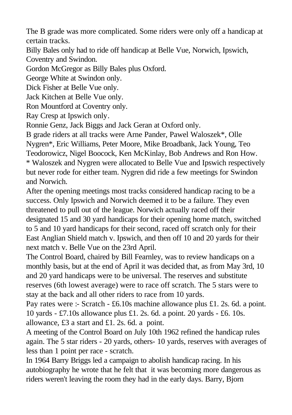The B grade was more complicated. Some riders were only off a handicap at certain tracks.

Billy Bales only had to ride off handicap at Belle Vue, Norwich, Ipswich, Coventry and Swindon.

Gordon McGregor as Billy Bales plus Oxford.

George White at Swindon only.

Dick Fisher at Belle Vue only.

Jack Kitchen at Belle Vue only.

Ron Mountford at Coventry only.

Ray Cresp at Ipswich only.

Ronnie Genz, Jack Biggs and Jack Geran at Oxford only.

B grade riders at all tracks were Arne Pander, Pawel Waloszek\*, Olle

Nygren\*, Eric Williams, Peter Moore, Mike Broadbank, Jack Young, Teo

Teodorowicz, Nigel Boocock, Ken McKinlay, Bob Andrews and Ron How.

\* Waloszek and Nygren were allocated to Belle Vue and Ipswich respectively but never rode for either team. Nygren did ride a few meetings for Swindon and Norwich.

After the opening meetings most tracks considered handicap racing to be a success. Only Ipswich and Norwich deemed it to be a failure. They even threatened to pull out of the league. Norwich actually raced off their designated 15 and 30 yard handicaps for their opening home match, switched to 5 and 10 yard handicaps for their second, raced off scratch only for their East Anglian Shield match v. Ipswich, and then off 10 and 20 yards for their next match v. Belle Vue on the 23rd April.

The Control Board, chaired by Bill Fearnley, was to review handicaps on a monthly basis, but at the end of April it was decided that, as from May 3rd, 10 and 20 yard handicaps were to be universal. The reserves and substitute reserves (6th lowest average) were to race off scratch. The 5 stars were to stay at the back and all other riders to race from 10 yards.

Pay rates were :- Scratch - £6.10s machine allowance plus £1. 2s. 6d. a point. 10 yards - £7.10s allowance plus £1. 2s. 6d. a point. 20 yards - £6. 10s. allowance, £3 a start and £1. 2s. 6d. a point.

A meeting of the Control Board on July 10th 1962 refined the handicap rules again. The 5 star riders - 20 yards, others- 10 yards, reserves with averages of less than 1 point per race - scratch.

In 1964 Barry Briggs led a campaign to abolish handicap racing. In his autobiography he wrote that he felt that it was becoming more dangerous as riders weren't leaving the room they had in the early days. Barry, Bjorn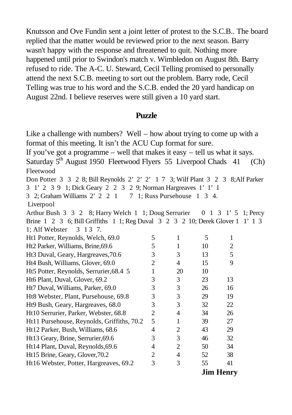Knutsson and Ove Fundin sent a joint letter of protest to the S.C.B.. The board replied that the matter would be reviewed prior to the next season. Barry wasn't happy with the response and threatened to quit. Nothing more happened until prior to Swindon's match v. Wimbledon on August 8th. Barry refused to ride. The A-C. U. Steward, Cecil Telling promised to personally attend the next S.C.B. meeting to sort out the problem. Barry rode, Cecil Telling was true to his word and the S.C.B. ended the 20 yard handicap on August 22nd. I believe reserves were still given a 10 yard start.

#### **Puzzle**

Like a challenge with numbers? Well – how about trying to come up with a format of this meeting. It isn't the ACU Cup format for sure. If you've got a programme – well that makes it easy – tell us what it says. Saturday  $5<sup>th</sup>$  August 1950 Fleetwood Flyers 55 Liverpool Chads 41 (Ch) Fleetwood Don Potter 3 3 2 8; Bill Reynolds 2' 2' 2' 1 7 3; Wilf Plant 3 2 3 8;Alf Parker 3 1' 2 3 9 1; Dick Geary 2 2 3 2 9; Norman Hargreaves 1' 1' 1 3 2; Graham Williams 2' 2 2 1 7 1; Russ Pursehouse 1 3 4. Liverpool Arthur Bush 3 3 2 8; Harry Welch 1 1; Doug Serrurier 0 1 3 1' 5 1; Percy Brine 1 2 3 6; Bill Griffiths 1 1; Reg Duval 3 2 3 2 10; Derek Glover 1 1' 1 3 1; Alf Webster 3 1 3 7. Ht1 Potter, Reynolds, Welch,  $69.0$  5 1 5 1 Ht2 Parker, Williams, Brine, 69.6 5 1 10 2 Ht3 Duval, Geary, Hargreaves, 70.6 3 3 13 5 Ht4 Bush, Williams, Glover, 69.0 2 4 15 9 Ht5 Potter, Reynolds, Serrurier,  $68.4 \quad 5 \quad 1 \quad 20 \quad 10$ Ht6 Plant, Duval, Glover, 69.2 3 3 23 13 Ht7 Duval, Williams, Parker, 69.0 3 3 26 16 Ht8 Webster, Plant, Pursehouse, 69.8 3 3 29 19 Ht9 Bush, Geary, Hargreaves, 68.0 3 32 22 Ht10 Serrurier, Parker, Webster, 68.8 2 4 34 26 Ht11 Pursehouse, Reynolds, Griffiths, 70.2 5 1 39 27 Ht12 Parker, Bush, Williams, 68.6 4 2 43 29 Ht13 Geary, Brine, Serrurier, 69.6 3 3 46 32 Ht14 Plant, Duval, Reynolds,69.6 4 2 50 34 Ht15 Brine, Geary, Glover, 70.2 2 4 52 38 Ht16 Webster, Potter, Hargreaves, 69.2 3 3 55 41

**Jim Henry**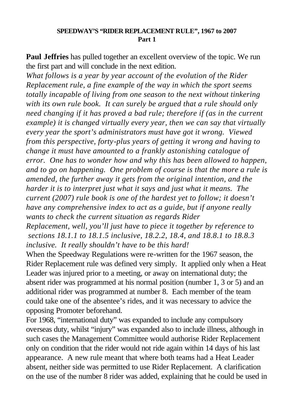#### **SPEEDWAY'S "RIDER REPLACEMENT RULE", 1967 to 2007 Part 1**

**Paul Jeffries** has pulled together an excellent overview of the topic. We run the first part and will conclude in the next edition.

*What follows is a year by year account of the evolution of the Rider Replacement rule, a fine example of the way in which the sport seems totally incapable of living from one season to the next without tinkering with its own rule book. It can surely be argued that a rule should only need changing if it has proved a bad rule; therefore if (as in the current example) it is changed virtually every year, then we can say that virtually every year the sport's administrators must have got it wrong. Viewed from this perspective, forty-plus years of getting it wrong and having to change it must have amounted to a frankly astonishing catalogue of error. One has to wonder how and why this has been allowed to happen, and to go on happening. One problem of course is that the more a rule is amended, the further away it gets from the original intention, and the harder it is to interpret just what it says and just what it means. The current (2007) rule book is one of the hardest yet to follow; it doesn't have any comprehensive index to act as a guide, but if anyone really wants to check the current situation as regards Rider* 

*Replacement, well, you'll just have to piece it together by reference to sections 18.1.1 to 18.1.5 inclusive, 18.2.2, 18.4, and 18.8.1 to 18.8.3 inclusive. It really shouldn't have to be this hard!* 

When the Speedway Regulations were re-written for the 1967 season, the Rider Replacement rule was defined very simply. It applied only when a Heat Leader was injured prior to a meeting, or away on international duty; the absent rider was programmed at his normal position (number 1, 3 or 5) and an additional rider was programmed at number 8. Each member of the team could take one of the absentee's rides, and it was necessary to advice the opposing Promoter beforehand.

For 1968, "international duty" was expanded to include any compulsory overseas duty, whilst "injury" was expanded also to include illness, although in such cases the Management Committee would authorise Rider Replacement only on condition that the rider would not ride again within 14 days of his last appearance. A new rule meant that where both teams had a Heat Leader absent, neither side was permitted to use Rider Replacement. A clarification on the use of the number 8 rider was added, explaining that he could be used in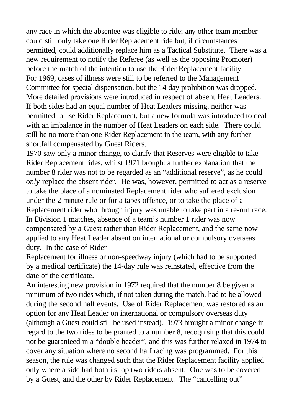any race in which the absentee was eligible to ride; any other team member could still only take one Rider Replacement ride but, if circumstances permitted, could additionally replace him as a Tactical Substitute. There was a new requirement to notify the Referee (as well as the opposing Promoter) before the match of the intention to use the Rider Replacement facility. For 1969, cases of illness were still to be referred to the Management Committee for special dispensation, but the 14 day prohibition was dropped. More detailed provisions were introduced in respect of absent Heat Leaders. If both sides had an equal number of Heat Leaders missing, neither was permitted to use Rider Replacement, but a new formula was introduced to deal with an imbalance in the number of Heat Leaders on each side. There could still be no more than one Rider Replacement in the team, with any further shortfall compensated by Guest Riders.

1970 saw only a minor change, to clarify that Reserves were eligible to take Rider Replacement rides, whilst 1971 brought a further explanation that the number 8 rider was not to be regarded as an "additional reserve", as he could *only* replace the absent rider. He was, however, permitted to act as a reserve to take the place of a nominated Replacement rider who suffered exclusion under the 2-minute rule or for a tapes offence, or to take the place of a Replacement rider who through injury was unable to take part in a re-run race. In Division 1 matches, absence of a team's number 1 rider was now compensated by a Guest rather than Rider Replacement, and the same now applied to any Heat Leader absent on international or compulsory overseas duty. In the case of Rider

Replacement for illness or non-speedway injury (which had to be supported by a medical certificate) the 14-day rule was reinstated, effective from the date of the certificate.

An interesting new provision in 1972 required that the number 8 be given a minimum of two rides which, if not taken during the match, had to be allowed during the second half events. Use of Rider Replacement was restored as an option for any Heat Leader on international or compulsory overseas duty (although a Guest could still be used instead). 1973 brought a minor change in regard to the two rides to be granted to a number 8, recognising that this could not be guaranteed in a "double header", and this was further relaxed in 1974 to cover any situation where no second half racing was programmed. For this season, the rule was changed such that the Rider Replacement facility applied only where a side had both its top two riders absent. One was to be covered by a Guest, and the other by Rider Replacement. The "cancelling out"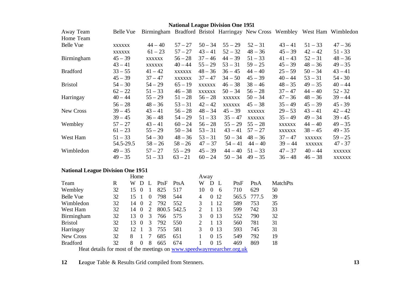## **National League Division One 1951**

| Away Team         | Belle Vue     | Birmingham Bradford Bristol Harringay New Cross Wembley West Ham Wimbledon |               |               |               |               |               |               |               |
|-------------------|---------------|----------------------------------------------------------------------------|---------------|---------------|---------------|---------------|---------------|---------------|---------------|
| Home Team         |               |                                                                            |               |               |               |               |               |               |               |
| Belle Vue         | <b>XXXXXX</b> | $44 - 40$                                                                  | $57 - 27$     | $50 - 34$     | $55 - 29$     | $52 - 31$     | $43 - 41$     | $51 - 33$     | $47 - 36$     |
|                   | <b>XXXXXX</b> | $61 - 23$                                                                  | $57 - 27$     | $43 - 41$     | $52 - 32$     | $48 - 36$     | $45 - 39$     | $42 - 42$     | $51 - 33$     |
| <b>Birmingham</b> | $45 - 39$     | XXXXXX                                                                     | $56 - 28$     | $37 - 46$     | $44 - 39$     | $51 - 33$     | $41 - 43$     | $52 - 31$     | $48 - 36$     |
|                   | $43 - 41$     | <b>XXXXXX</b>                                                              | $40 - 44$     | $55 - 29$     | $53 - 31$     | $59 - 25$     | $45 - 39$     | $48 - 36$     | $49 - 35$     |
| <b>Bradford</b>   | $33 - 55$     | $41 - 42$                                                                  | <b>XXXXXX</b> | $48 - 36$     | $36 - 45$     | $44 - 40$     | $25 - 59$     | $50 - 34$     | $43 - 41$     |
|                   | $45 - 39$     | $37 - 47$                                                                  | <b>XXXXXX</b> | $37 - 47$     | $34 - 50$     | $45 - 39$     | $40 - 44$     | $53 - 31$     | $54 - 30$     |
| <b>Bristol</b>    | $54 - 30$     | $54 - 29$                                                                  | $65 - 19$     | <b>XXXXXX</b> | $46 - 38$     | $38 - 46$     | $48 - 35$     | $49 - 35$     | $40 - 44$     |
|                   | $62 - 22$     | $51 - 33$                                                                  | $46 - 38$     | <b>XXXXXX</b> | $50 - 34$     | $56 - 28$     | $37 - 47$     | $44 - 40$     | $52 - 32$     |
| Harringay         | $40 - 44$     | $55 - 29$                                                                  | $51 - 28$     | $56 - 28$     | XXXXXX        | $50 - 34$     | $47 - 36$     | $48 - 36$     | $39 - 44$     |
|                   | $56 - 28$     | $48 - 36$                                                                  | $53 - 31$     | $42 - 42$     | <b>XXXXXX</b> | $45 - 38$     | $35 - 49$     | $45 - 39$     | $45 - 39$     |
| <b>New Cross</b>  | $39 - 45$     | $43 - 41$                                                                  | $56 - 28$     | $48 - 34$     | $45 - 39$     | <b>XXXXXX</b> | $29 - 53$     | $43 - 41$     | $42 - 42$     |
|                   | $39 - 45$     | $36 - 48$                                                                  | $54 - 29$     | $51 - 33$     | $35 - 47$     | <b>XXXXXX</b> | $35 - 49$     | $49 - 34$     | $39 - 45$     |
| Wembley           | $57 - 27$     | $43 - 41$                                                                  | $60 - 24$     | $56 - 28$     | $55 - 29$     | $55 - 28$     | <b>XXXXXX</b> | $44 - 40$     | $49 - 35$     |
|                   | $61 - 23$     | $55 - 29$                                                                  | $50 - 34$     | $53 - 31$     | $43 - 41$     | $57 - 27$     | XXXXXX        | $38 - 45$     | 49 - 35       |
| West Ham          | $51 - 33$     | $54 - 30$                                                                  | $48 - 36$     | $53 - 31$     | $50 - 34$     | $48 - 36$     | $37 - 47$     | <b>XXXXXX</b> | $59 - 25$     |
|                   | 54.5-29.5     | $58 - 26$                                                                  | $58 - 26$     | $47 - 37$     | $54 - 41$     | $44 - 40$     | $39 - 44$     | <b>XXXXXX</b> | $47 - 37$     |
| Wimbledon         | $49 - 35$     | $57 - 27$                                                                  | $55 - 29$     | $45 - 39$     | $44 - 40$     | $51 - 33$     | $47 - 37$     | $40 - 44$     | <b>XXXXXX</b> |
|                   | $49 - 35$     | $51 - 33$                                                                  | $63 - 21$     | $60 - 24$     | $50 - 34$     | $49 - 35$     | $36 - 48$     | $46 - 38$     | <b>XXXXXX</b> |

## **National League Division One 1951**

|                                                                        |    | Home |          |                             |      |             | Away |          |    |       |       |                 |
|------------------------------------------------------------------------|----|------|----------|-----------------------------|------|-------------|------|----------|----|-------|-------|-----------------|
| Team                                                                   | R  | W    | Ð        |                             | PtsF | PtsA        | W    | D        | L  | PtsF  | PtsA  | <b>MatchPts</b> |
| Wembley                                                                | 32 | 15   | $\theta$ |                             | 825  | 517         | 10   | $\Omega$ | 6  | 710   | 629   | 50              |
| Belle Vue                                                              | 32 | 15   |          | $\theta$                    | 798  | 544         | 4    | $\Omega$ | 12 | 565.5 | 777.5 | 39              |
| Wimbledon                                                              | 32 | 14   | $\theta$ | $\mathcal{D}_{\cdot}$       | 792  | 552         | 3    |          | 12 | 589   | 753   | 35              |
| West Ham                                                               | 32 | 14   | $\Omega$ | $\mathcal{D}_{\mathcal{L}}$ |      | 800.5 542.5 | 2    |          | 13 | 599   | 742   | 33              |
| <b>Birmingham</b>                                                      | 32 | 13   | $\theta$ | 3                           | 766  | 575         | 3    | 0        | 13 | 552   | 790   | 32              |
| <b>Bristol</b>                                                         | 32 | 13   | $\Omega$ | 3                           | 792  | 550         | 2    |          | 13 | 560   | 781   | 31              |
| Harringay                                                              | 32 | 12   |          | 3                           | 755  | 581         | 3    | 0        | 13 | 593   | 745   | 31              |
| New Cross                                                              | 32 | 8    |          |                             | 685  | 651         |      | 0        | 15 | 549   | 792   | 19              |
| <b>Bradford</b>                                                        | 32 | 8    | 0        | 8                           | 665  | 674         |      | $\Omega$ | 15 | 469   | 869   | 18              |
| Heat details for most of the meetings on www.speedwayresearcher.org.uk |    |      |          |                             |      |             |      |          |    |       |       |                 |

**12 L**eague Table & Results Grid compiled from Stenners. **13**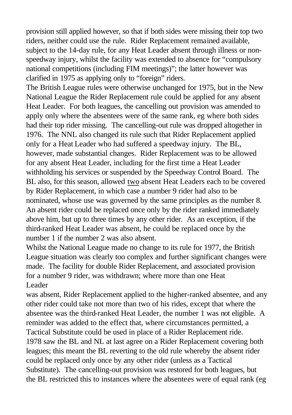provision still applied however, so that if both sides were missing their top two riders, neither could use the rule. Rider Replacement remained available, subject to the 14-day rule, for any Heat Leader absent through illness or nonspeedway injury, whilst the facility was extended to absence for "compulsory national competitions (including FIM meetings)"; the latter however was clarified in 1975 as applying only to "foreign" riders.

The British League rules were otherwise unchanged for 1975, but in the New National League the Rider Replacement rule could be applied for any absent Heat Leader. For both leagues, the cancelling out provision was amended to apply only where the absentees were of the same rank, eg where both sides had their top rider missing. The cancelling-out rule was dropped altogether in 1976. The NNL also changed its rule such that Rider Replacement applied only for a Heat Leader who had suffered a speedway injury. The BL, however, made substantial changes. Rider Replacement was to be allowed for any absent Heat Leader, including for the first time a Heat Leader withholding his services or suspended by the Speedway Control Board. The BL also, for this season, allowed two absent Heat Leaders each to be covered by Rider Replacement, in which case a number 9 rider had also to be nominated, whose use was governed by the same principles as the number 8. An absent rider could be replaced once only by the rider ranked immediately above him, but up to three times by any other rider. As an exception, if the third-ranked Heat Leader was absent, he could be replaced once by the number 1 if the number 2 was also absent.

Whilst the National League made no change to its rule for 1977, the British League situation was clearly too complex and further significant changes were made. The facility for double Rider Replacement, and associated provision for a number 9 rider, was withdrawn; where more than one Heat Leader

was absent, Rider Replacement applied to the higher-ranked absentee, and any other rider could take not more than two of his rides, except that where the absentee was the third-ranked Heat Leader, the number 1 was not eligible. A reminder was added to the effect that, where circumstances permitted, a Tactical Substitute could be used in place of a Rider Replacement ride. 1978 saw the BL and NL at last agree on a Rider Replacement covering both leagues; this meant the BL reverting to the old rule whereby the absent rider could be replaced only once by any other rider (unless as a Tactical Substitute). The cancelling-out provision was restored for both leagues, but the BL restricted this to instances where the absentees were of equal rank (eg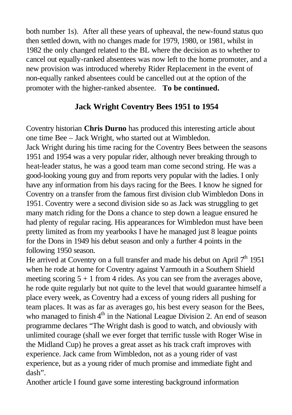both number 1s). After all these years of upheaval, the new-found status quo then settled down, with no changes made for 1979, 1980, or 1981, whilst in 1982 the only changed related to the BL where the decision as to whether to cancel out equally-ranked absentees was now left to the home promoter, and a new provision was introduced whereby Rider Replacement in the event of non-equally ranked absentees could be cancelled out at the option of the promoter with the higher-ranked absentee. **To be continued.**

## **Jack Wright Coventry Bees 1951 to 1954**

Coventry historian **Chris Durno** has produced this interesting article about one time Bee – Jack Wright, who started out at Wimbledon. Jack Wright during his time racing for the Coventry Bees between the seasons 1951 and 1954 was a very popular rider, although never breaking through to heat-leader status, he was a good team man come second string. He was a good-looking young guy and from reports very popular with the ladies. I only have any information from his days racing for the Bees. I know he signed for Coventry on a transfer from the famous first division club Wimbledon Dons in 1951. Coventry were a second division side so as Jack was struggling to get many match riding for the Dons a chance to step down a league ensured he had plenty of regular racing. His appearances for Wimbledon must have been pretty limited as from my yearbooks I have he managed just 8 league points for the Dons in 1949 his debut season and only a further 4 points in the following 1950 season.

He arrived at Coventry on a full transfer and made his debut on April  $7<sup>th</sup>$  1951 when he rode at home for Coventry against Yarmouth in a Southern Shield meeting scoring  $5 + 1$  from 4 rides. As you can see from the averages above, he rode quite regularly but not quite to the level that would guarantee himself a place every week, as Coventry had a excess of young riders all pushing for team places. It was as far as averages go, his best every season for the Bees, who managed to finish  $4<sup>th</sup>$  in the National League Division 2. An end of season programme declares "The Wright dash is good to watch, and obviously with unlimited courage (shall we ever forget that terrific tussle with Roger Wise in the Midland Cup) he proves a great asset as his track craft improves with experience. Jack came from Wimbledon, not as a young rider of vast experience, but as a young rider of much promise and immediate fight and dash".

Another article I found gave some interesting background information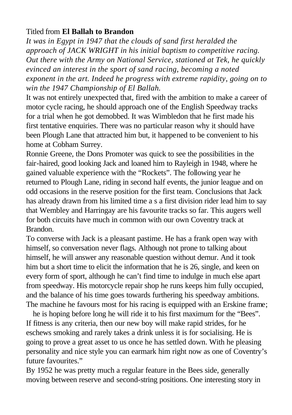## Titled from **El Ballah to Brandon**

*It was in Egypt in 1947 that the clouds of sand first heralded the approach of JACK WRIGHT in his initial baptism to competitive racing. Out there with the Army on National Service, stationed at Tek, he quickly evinced an interest in the sport of sand racing, becoming a noted exponent in the art. Indeed he progress with extreme rapidity, going on to win the 1947 Championship of El Ballah.*

It was not entirely unexpected that, fired with the ambition to make a career of motor cycle racing, he should approach one of the English Speedway tracks for a trial when he got demobbed. It was Wimbledon that he first made his first tentative enquiries. There was no particular reason why it should have been Plough Lane that attracted him but, it happened to be convenient to his home at Cobham Surrey.

Ronnie Greene, the Dons Promoter was quick to see the possibilities in the fair-haired, good looking Jack and loaned him to Rayleigh in 1948, where he gained valuable experience with the "Rockets". The following year he returned to Plough Lane, riding in second half events, the junior league and on odd occasions in the reserve position for the first team. Conclusions that Jack has already drawn from his limited time a s a first division rider lead him to say that Wembley and Harringay are his favourite tracks so far. This augers well for both circuits have much in common with our own Coventry track at Brandon.

To converse with Jack is a pleasant pastime. He has a frank open way with himself, so conversation never flags. Although not prone to talking about himself, he will answer any reasonable question without demur. And it took him but a short time to elicit the information that he is 26, single, and keen on every form of sport, although he can't find time to indulge in much else apart from speedway. His motorcycle repair shop he runs keeps him fully occupied, and the balance of his time goes towards furthering his speedway ambitions. The machine he favours most for his racing is equipped with an Erskine frame;

he is hoping before long he will ride it to his first maximum for the "Bees". If fitness is any criteria, then our new boy will make rapid strides, for he eschews smoking and rarely takes a drink unless it is for socialising. He is going to prove a great asset to us once he has settled down. With he pleasing personality and nice style you can earmark him right now as one of Coventry's future favourites."

By 1952 he was pretty much a regular feature in the Bees side, generally moving between reserve and second-string positions. One interesting story in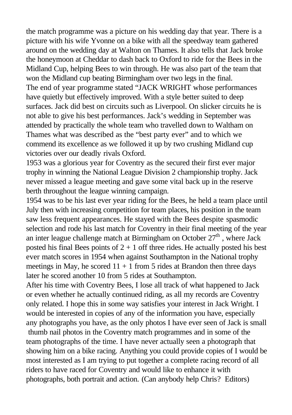the match programme was a picture on his wedding day that year. There is a picture with his wife Yvonne on a bike with all the speedway team gathered around on the wedding day at Walton on Thames. It also tells that Jack broke the honeymoon at Cheddar to dash back to Oxford to ride for the Bees in the Midland Cup, helping Bees to win through. He was also part of the team that won the Midland cup beating Birmingham over two legs in the final. The end of year programme stated "JACK WRIGHT whose performances have quietly but effectively improved. With a style better suited to deep surfaces. Jack did best on circuits such as Liverpool. On slicker circuits he is not able to give his best performances. Jack's wedding in September was attended by practically the whole team who travelled down to Waltham on Thames what was described as the "best party ever" and to which we commend its excellence as we followed it up by two crushing Midland cup victories over our deadly rivals Oxford.

1953 was a glorious year for Coventry as the secured their first ever major trophy in winning the National League Division 2 championship trophy. Jack never missed a league meeting and gave some vital back up in the reserve berth throughout the league winning campaign.

1954 was to be his last ever year riding for the Bees, he held a team place until July then with increasing competition for team places, his position in the team saw less frequent appearances. He stayed with the Bees despite spasmodic selection and rode his last match for Coventry in their final meeting of the year an inter league challenge match at Birmingham on October  $27<sup>th</sup>$ , where Jack posted his final Bees points of  $2 + 1$  off three rides. He actually posted his best ever match scores in 1954 when against Southampton in the National trophy meetings in May, he scored  $11 + 1$  from 5 rides at Brandon then three days later he scored another 10 from 5 rides at Southampton.

After his time with Coventry Bees, I lose all track of what happened to Jack or even whether he actually continued riding, as all my records are Coventry only related. I hope this in some way satisfies your interest in Jack Wright. I would be interested in copies of any of the information you have, especially any photographs you have, as the only photos I have ever seen of Jack is small thumb nail photos in the Coventry match programmes and in some of the team photographs of the time. I have never actually seen a photograph that showing him on a bike racing. Anything you could provide copies of I would be most interested as I am trying to put together a complete racing record of all riders to have raced for Coventry and would like to enhance it with photographs, both portrait and action. (Can anybody help Chris? Editors)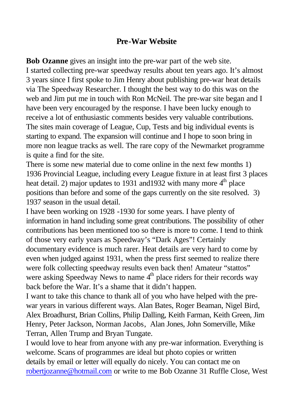## **Pre-War Website**

**Bob Ozanne** gives an insight into the pre-war part of the web site. I started collecting pre-war speedway results about ten years ago. It's almost 3 years since I first spoke to Jim Henry about publishing pre-war heat details via The Speedway Researcher. I thought the best way to do this was on the web and Jim put me in touch with Ron McNeil. The pre-war site began and I have been very encouraged by the response. I have been lucky enough to receive a lot of enthusiastic comments besides very valuable contributions. The sites main coverage of League, Cup, Tests and big individual events is starting to expand. The expansion will continue and I hope to soon bring in more non league tracks as well. The rare copy of the Newmarket programme is quite a find for the site.

There is some new material due to come online in the next few months 1) 1936 Provincial League, including every League fixture in at least first 3 places heat detail. 2) major updates to 1931 and 1932 with many more  $4<sup>th</sup>$  place positions than before and some of the gaps currently on the site resolved. 3) 1937 season in the usual detail.

I have been working on 1928 -1930 for some years. I have plenty of information in hand including some great contributions. The possibility of other contributions has been mentioned too so there is more to come. I tend to think of those very early years as Speedway's "Dark Ages"! Certainly documentary evidence is much rarer. Heat details are very hard to come by even when judged against 1931, when the press first seemed to realize there were folk collecting speedway results even back then! Amateur "stattos" were asking Speedway News to name  $4<sup>th</sup>$  place riders for their records way back before the War. It's a shame that it didn't happen.

I want to take this chance to thank all of you who have helped with the prewar years in various different ways. Alan Bates, Roger Beaman, Nigel Bird, Alex Broadhurst, Brian Collins, Philip Dalling, Keith Farman, Keith Green, Jim Henry, Peter Jackson, Norman Jacobs, Alan Jones, John Somerville, Mike Terran, Allen Trump and Bryan Tungate.

I would love to hear from anyone with any pre-war information. Everything is welcome. Scans of programmes are ideal but photo copies or written details by email or letter will equally do nicely. You can contact me on robertjozanne@hotmail.com or write to me Bob Ozanne 31 Ruffle Close, West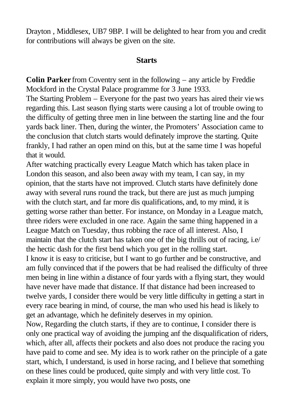Drayton , Middlesex, UB7 9BP. I will be delighted to hear from you and credit for contributions will always be given on the site.

#### **Starts**

**Colin Parker** from Coventry sent in the following – any article by Freddie Mockford in the Crystal Palace programme for 3 June 1933.

The Starting Problem – Everyone for the past two years has aired their views regarding this. Last season flying starts were causing a lot of trouble owing to the difficulty of getting three men in line between the starting line and the four yards back liner. Then, during the winter, the Promoters' Association came to the conclusion that clutch starts would definately improve the starting. Quite frankly, I had rather an open mind on this, but at the same time I was hopeful that it would.

After watching practically every League Match which has taken place in London this season, and also been away with my team, I can say, in my opinion, that the starts have not improved. Clutch starts have definitely done away with several runs round the track, but there are just as much jumping with the clutch start, and far more dis qualifications, and, to my mind, it is getting worse rather than better. For instance, on Monday in a League match, three riders were excluded in one race. Again the same thing happened in a League Match on Tuesday, thus robbing the race of all interest. Also, I maintain that the clutch start has taken one of the big thrills out of racing, i.e/ the hectic dash for the first bend which you get in the rolling start. I know it is easy to criticise, but I want to go further and be constructive, and am fully convinced that if the powers that be had realised the difficulty of three men being in line within a distance of four yards with a flying start, they would have never have made that distance. If that distance had been increased to twelve yards, I consider there would be very little difficulty in getting a start in every race bearing in mind, of course, the man who used his head is likely to get an advantage, which he definitely deserves in my opinion.

Now, Regarding the clutch starts, if they are to continue, I consider there is only one practical way of avoiding the jumping anf the disqualification of riders, which, after all, affects their pockets and also does not produce the racing you have paid to come and see. My idea is to work rather on the principle of a gate start, which, I understand, is used in horse racing, and I believe that something on these lines could be produced, quite simply and with very little cost. To explain it more simply, you would have two posts, one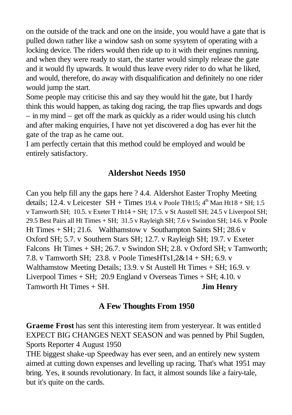on the outside of the track and one on the inside, you would have a gate that is pulled down rather like a window sash on some sysytem of operating with a locking device. The riders would then ride up to it with their engines running, and when they were ready to start, the starter would simply release the gate and it would fly upwards. It would thus leave every rider to do what he liked, and would, therefore, do away with disqualification and definitely no one rider would jump the start.

Some people may criticise this and say they would hit the gate, but I hardy think this would happen, as taking dog racing, the trap flies upwards and dogs – in my mind – get off the mark as quickly as a rider would using his clutch and after making enquiries, I have not yet discovered a dog has ever hit the gate of the trap as he came out.

I am perfectly certain that this method could be employed and would be entirely satisfactory.

## **Aldershot Needs 1950**

Can you help fill any the gaps here ? 4.4. Aldershot Easter Trophy Meeting details; 12.4. v Leicester  $SH + Times$  19.4. v Poole THt15;  $4<sup>th</sup>$  Man Ht18 + SH; 1.5 v Tamworth SH; 10.5. v Exeter T Ht14 + SH; 17.5. v St Austell SH; 24.5 v Liverpool SH; 29.5 Best Pairs all Ht Times + SH; 31.5 v Rayleigh SH; 7.6 v Swindon SH; 14.6. v Poole Ht Times + SH; 21.6. Walthamstow v Southampton Saints SH; 28.6 v Oxford SH; 5.7. v Southern Stars SH; 12.7. v Rayleigh SH; 19.7. v Exeter Falcons Ht Times + SH; 26.7. v Swindon SH; 2.8. v Oxford SH; v Tamworth; 7.8. v Tamworth SH; 23.8. v Poole TimesHTs1,2&14 + SH; 6.9. v Walthamstow Meeting Details; 13.9. v St Austell Ht Times + SH; 16.9. v Liverpool Times + SH; 20.9 England v Overseas Times + SH; 4.10. v Tamworth Ht Times + SH. **Jim Henry**

## **A Few Thoughts From 1950**

**Graeme Frost** has sent this interesting item from yesteryear. It was entitled EXPECT BIG CHANGES NEXT SEASON and was penned by Phil Sugden, Sports Reporter 4 August 1950

THE biggest shake-up Speedway has ever seen, and an entirely new system aimed at cutting down expenses and levelling up racing. That's what 1951 may bring. Yes, it sounds revolutionary. In fact, it almost sounds like a fairy-tale, but it's quite on the cards.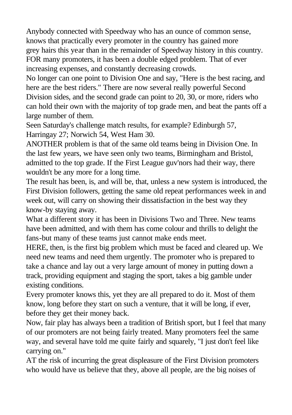Anybody connected with Speedway who has an ounce of common sense, knows that practically every promoter in the country has gained more grey hairs this year than in the remainder of Speedway history in this country. FOR many promoters, it has been a double edged problem. That of ever increasing expenses, and constantly decreasing crowds.

No longer can one point to Division One and say, "Here is the best racing, and here are the best riders." There are now several really powerful Second Division sides, and the second grade can point to 20, 30, or more, riders who can hold their own with the majority of top grade men, and beat the pants off a large number of them.

Seen Saturday's challenge match results, for example? Edinburgh 57, Harringay 27; Norwich 54, West Ham 30.

ANOTHER problem is that of the same old teams being in Division One. In the last few years, we have seen only two teams, Birmingham and Bristol, admitted to the top grade. If the First League guv'nors had their way, there wouldn't be any more for a long time.

The result has been, is, and will be, that, unless a new system is introduced, the First Division followers, getting the same old repeat performances week in and week out, will carry on showing their dissatisfaction in the best way they know-by staying away.

What a different story it has been in Divisions Two and Three. New teams have been admitted, and with them has come colour and thrills to delight the fans-but many of these teams just cannot make ends meet.

HERE, then, is the first big problem which must be faced and cleared up. We need new teams and need them urgently. The promoter who is prepared to take a chance and lay out a very large amount of money in putting down a track, providing equipment and staging the sport, takes a big gamble under existing conditions.

Every promoter knows this, yet they are all prepared to do it. Most of them know, long before they start on such a venture, that it will be long, if ever, before they get their money back.

Now, fair play has always been a tradition of British sport, but I feel that many of our promoters are not being fairly treated. Many promoters feel the same way, and several have told me quite fairly and squarely, "I just don't feel like carrying on."

AT the risk of incurring the great displeasure of the First Division promoters who would have us believe that they, above all people, are the big noises of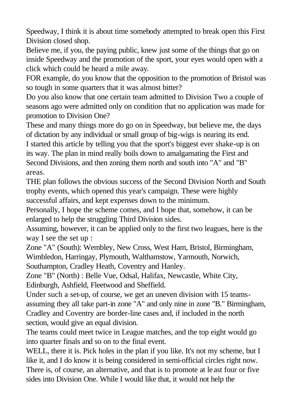Speedway, I think it is about time somebody attempted to break open this First Division closed shop.

Believe me, if you, the paying public, knew just some of the things that go on inside Speedway and the promotion of the sport, your eyes would open with a click which could be heard a mile away.

FOR example, do you know that the opposition to the promotion of Bristol was so tough in some quarters that it was almost bitter?

Do you also know that one certain team admitted to Division Two a couple of seasons ago were admitted only on condition that no application was made for promotion to Division One?

These and many things more do go on in Speedway, but believe me, the days of dictation by any individual or small group of big-wigs is nearing its end. I started this article by telling you that the sport's biggest ever shake-up is on

its way. The plan in mind really boils down to amalgamating the First and Second Divisions, and then zoning them north and south into "A" and "B" areas.

THE plan follows the obvious success of the Second Division North and South trophy events, which opened this year's campaign. These were highly successful affairs, and kept expenses down to the minimum.

Personally, I hope the scheme comes, and I hope that, somehow, it can be enlarged to help the struggling Third Division sides.

Assuming, however, it can be applied only to the first two leagues, here is the way I see the set up :

Zone "A" (South): Wembley, New Cross, West Ham, Bristol, Birmingham, Wimbledon, Harringay, Plymouth, Walthamstow, Yarmouth, Norwich, Southampton, Cradley Heath, Coventry and Hanley.

Zone "B" (North) : Belle Vue, Odsal, Halifax, Newcastle, White City, Edinburgh, Ashfield, Fleetwood and Sheffield.

Under such a set-up, of course, we get an uneven division with 15 teamsassuming they all take part-in zone "A" and only nine in zone "B." Birmingham, Cradley and Coventry are border-line cases and, if included in the north section, would give an equal division.

The teams could meet twice in League matches, and the top eight would go into quarter finals and so on to the final event.

WELL, there it is. Pick holes in the plan if you like. It's not my scheme, but I like it, and I do know it is being considered in semi-official circles right now. There is, of course, an alternative, and that is to promote at le ast four or five sides into Division One. While I would like that, it would not help the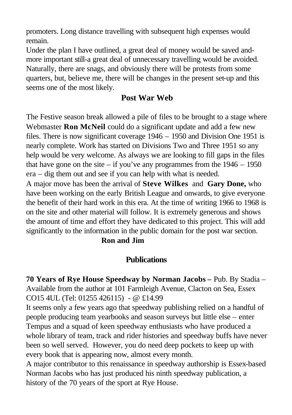promoters. Long distance travelling with subsequent high expenses would remain.

Under the plan I have outlined, a great deal of money would be saved andmore important still-a great deal of unnecessary travelling would be avoided. Naturally, there are snags, and obviously there will be protests from some quarters, but, believe me, there will be changes in the present set-up and this seems one of the most likely.

## **Post War Web**

The Festive season break allowed a pile of files to be brought to a stage where Webmaster **Ron McNeil** could do a significant update and add a few new files. There is now significant coverage 1946 – 1950 and Division One 1951 is nearly complete. Work has started on Divisions Two and Three 1951 so any help would be very welcome. As always we are looking to fill gaps in the files that have gone on the site – if you've any programmes from the  $1946 - 1950$ era – dig them out and see if you can help with what is needed.

A major move has been the arrival of **Steve Wilkes** and **Gary Done,** who have been working on the early British League and onwards, to give everyone the benefit of their hard work in this era. At the time of writing 1966 to 1968 is on the site and other material will follow. It is extremely generous and shows the amount of time and effort they have dedicated to this project. This will add significantly to the information in the public domain for the post war section.

### **Ron and Jim**

## **Publications**

**70 Years of Rye House Speedway by Norman Jacobs –** Pub. By Stadia – Available from the author at 101 Farmleigh Avenue, Clacton on Sea, Essex CO15 4UL (Tel: 01255 426115) - @ £14.99

It seems only a few years ago that speedway publishing relied on a handful of people producing team yearbooks and season surveys but little else – enter Tempus and a squad of keen speedway enthusiasts who have produced a whole library of team, track and rider histories and speedway buffs have never been so well served. However, you do need deep pockets to keep up with every book that is appearing now, almost every month.

A major contributor to this renaissance in speedway authorship is Essex-based Norman Jacobs who has just produced his ninth speedway publication, a history of the 70 years of the sport at Rye House.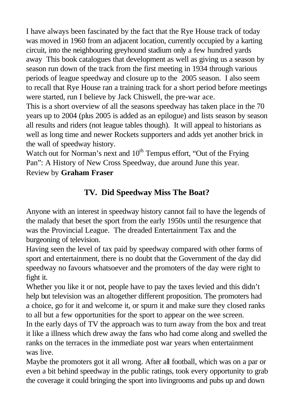I have always been fascinated by the fact that the Rye House track of today was moved in 1960 from an adjacent location, currently occupied by a karting circuit, into the neighbouring greyhound stadium only a few hundred yards away This book catalogues that development as well as giving us a season by season run down of the track from the first meeting in 1934 through various periods of league speedway and closure up to the 2005 season. I also seem to recall that Rye House ran a training track for a short period before meetings were started, run I believe by Jack Chiswell, the pre-war ace.

This is a short overview of all the seasons speedway has taken place in the 70 years up to 2004 (plus 2005 is added as an epilogue) and lists season by season all results and riders (not league tables though). It will appeal to historians as well as long time and newer Rockets supporters and adds yet another brick in the wall of speedway history.

Watch out for Norman's next and  $10<sup>th</sup>$  Tempus effort, "Out of the Frying" Pan": A History of New Cross Speedway, due around June this year. Review by **Graham Fraser**

## **TV. Did Speedway Miss The Boat?**

Anyone with an interest in speedway history cannot fail to have the legends of the malady that beset the sport from the early 1950s until the resurgence that was the Provincial League. The dreaded Entertainment Tax and the burgeoning of television.

Having seen the level of tax paid by speedway compared with other forms of sport and entertainment, there is no doubt that the Government of the day did speedway no favours whatsoever and the promoters of the day were right to fight it.

Whether you like it or not, people have to pay the taxes levied and this didn't help but television was an altogether different proposition. The promoters had a choice, go for it and welcome it, or spurn it and make sure they closed ranks to all but a few opportunities for the sport to appear on the wee screen.

In the early days of TV the approach was to turn away from the box and treat it like a illness which drew away the fans who had come along and swelled the ranks on the terraces in the immediate post war years when entertainment was live.

Maybe the promoters got it all wrong. After all football, which was on a par or even a bit behind speedway in the public ratings, took every opportunity to grab the coverage it could bringing the sport into livingrooms and pubs up and down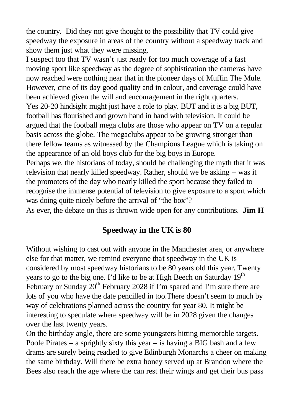the country. Did they not give thought to the possibility that TV could give speedway the exposure in areas of the country without a speedway track and show them just what they were missing.

I suspect too that TV wasn't just ready for too much coverage of a fast moving sport like speedway as the degree of sophistication the cameras have now reached were nothing near that in the pioneer days of Muffin The Mule. However, cine of its day good quality and in colour, and coverage could have been achieved given the will and encouragement in the right quarters. Yes 20-20 hindsight might just have a role to play. BUT and it is a big BUT, football has flourished and grown hand in hand with television. It could be argued that the football mega clubs are those who appear on TV on a regular basis across the globe. The megaclubs appear to be growing stronger than there fellow teams as witnessed by the Champions League which is taking on the appearance of an old boys club for the big boys in Europe.

Perhaps we, the historians of today, should be challenging the myth that it was television that nearly killed speedway. Rather, should we be asking – was it the promoters of the day who nearly killed the sport because they failed to recognise the immense potential of television to give exposure to a sport which was doing quite nicely before the arrival of "the box"?

As ever, the debate on this is thrown wide open for any contributions. **Jim H**

## **Speedway in the UK is 80**

Without wishing to cast out with anyone in the Manchester area, or anywhere else for that matter, we remind everyone that speedway in the UK is considered by most speedway historians to be 80 years old this year. Twenty years to go to the big one. I'd like to be at High Beech on Saturday  $19<sup>th</sup>$ February or Sunday 20<sup>th</sup> February 2028 if I'm spared and I'm sure there are lots of you who have the date pencilled in too.There doesn't seem to much by way of celebrations planned across the country for year 80. It might be interesting to speculate where speedway will be in 2028 given the changes over the last twenty years.

On the birthday angle, there are some youngsters hitting memorable targets. Poole Pirates – a sprightly sixty this year – is having a BIG bash and a few drams are surely being readied to give Edinburgh Monarchs a cheer on making the same birthday. Will there be extra honey served up at Brandon where the Bees also reach the age where the can rest their wings and get their bus pass